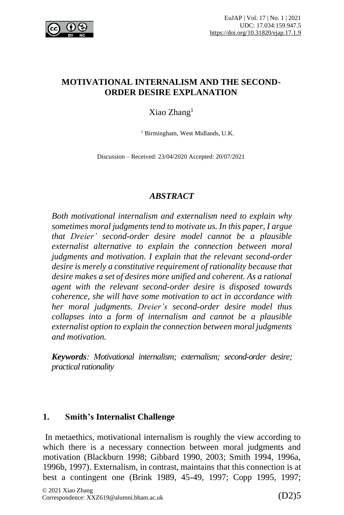

#### **MOTIVATIONAL INTERNALISM AND THE SECOND-ORDER DESIRE EXPLANATION**

## Xiao Zhang<sup>1</sup>

<sup>1</sup> Birmingham, West Midlands, U.K.

Discussion – Received: 23/04/2020 Accepted: 20/07/2021

#### *ABSTRACT*

*Both motivational internalism and externalism need to explain why sometimes moral judgments tend to motivate us. In this paper, I argue that Dreier' second-order desire model cannot be a plausible externalist alternative to explain the connection between moral judgments and motivation. I explain that the relevant second-order desire is merely a constitutive requirement of rationality because that desire makes a set of desires more unified and coherent. As a rational agent with the relevant second-order desire is disposed towards coherence, she will have some motivation to act in accordance with her moral judgments. Dreier's second-order desire model thus collapses into a form of internalism and cannot be a plausible externalist option to explain the connection between moral judgments and motivation.*

*Keywords: Motivational internalism; externalism; second-order desire; practical rationality* 

### **1. Smith's Internalist Challenge**

In metaethics, motivational internalism is roughly the view according to which there is a necessary connection between moral judgments and motivation (Blackburn 1998; Gibbard 1990, 2003; Smith 1994, 1996a, 1996b, 1997). Externalism, in contrast, maintains that this connection is at best a contingent one (Brink 1989, 45-49, 1997; Copp 1995, 1997;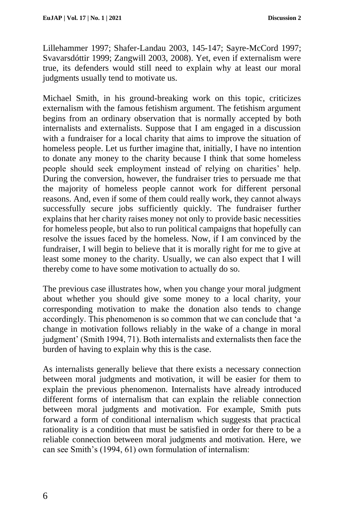Lillehammer 1997; Shafer-Landau 2003, 145-147; Sayre-McCord 1997; Svavarsdóttir 1999; Zangwill 2003, 2008). Yet, even if externalism were true, its defenders would still need to explain why at least our moral judgments usually tend to motivate us.

Michael Smith, in his ground-breaking work on this topic, criticizes externalism with the famous fetishism argument. The fetishism argument begins from an ordinary observation that is normally accepted by both internalists and externalists. Suppose that I am engaged in a discussion with a fundraiser for a local charity that aims to improve the situation of homeless people. Let us further imagine that, initially, I have no intention to donate any money to the charity because I think that some homeless people should seek employment instead of relying on charities' help. During the conversion, however, the fundraiser tries to persuade me that the majority of homeless people cannot work for different personal reasons. And, even if some of them could really work, they cannot always successfully secure jobs sufficiently quickly. The fundraiser further explains that her charity raises money not only to provide basic necessities for homeless people, but also to run political campaigns that hopefully can resolve the issues faced by the homeless. Now, if I am convinced by the fundraiser, I will begin to believe that it is morally right for me to give at least some money to the charity. Usually, we can also expect that I will thereby come to have some motivation to actually do so.

The previous case illustrates how, when you change your moral judgment about whether you should give some money to a local charity, your corresponding motivation to make the donation also tends to change accordingly. This phenomenon is so common that we can conclude that 'a change in motivation follows reliably in the wake of a change in moral judgment' (Smith 1994, 71). Both internalists and externalists then face the burden of having to explain why this is the case.

As internalists generally believe that there exists a necessary connection between moral judgments and motivation, it will be easier for them to explain the previous phenomenon. Internalists have already introduced different forms of internalism that can explain the reliable connection between moral judgments and motivation. For example, Smith puts forward a form of conditional internalism which suggests that practical rationality is a condition that must be satisfied in order for there to be a reliable connection between moral judgments and motivation. Here, we can see Smith's (1994, 61) own formulation of internalism: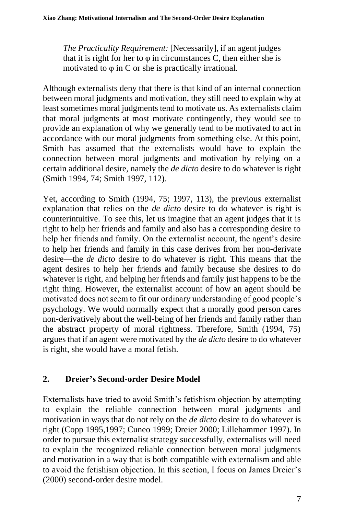*The Practicality Requirement:* [Necessarily], if an agent judges that it is right for her to  $\varphi$  in circumstances C, then either she is motivated to φ in C or she is practically irrational.

Although externalists deny that there is that kind of an internal connection between moral judgments and motivation, they still need to explain why at least sometimes moral judgments tend to motivate us. As externalists claim that moral judgments at most motivate contingently, they would see to provide an explanation of why we generally tend to be motivated to act in accordance with our moral judgments from something else. At this point, Smith has assumed that the externalists would have to explain the connection between moral judgments and motivation by relying on a certain additional desire, namely the *de dicto* desire to do whatever is right (Smith 1994, 74; Smith 1997, 112).

Yet, according to Smith (1994, 75; 1997, 113), the previous externalist explanation that relies on the *de dicto* desire to do whatever is right is counterintuitive. To see this, let us imagine that an agent judges that it is right to help her friends and family and also has a corresponding desire to help her friends and family. On the externalist account, the agent's desire to help her friends and family in this case derives from her non-derivate desire—the *de dicto* desire to do whatever is right. This means that the agent desires to help her friends and family because she desires to do whatever is right, and helping her friends and family just happens to be the right thing. However, the externalist account of how an agent should be motivated does not seem to fit our ordinary understanding of good people's psychology. We would normally expect that a morally good person cares non-derivatively about the well-being of her friends and family rather than the abstract property of moral rightness. Therefore, Smith (1994, 75) argues that if an agent were motivated by the *de dicto* desire to do whatever is right, she would have a moral fetish.

# **2. Dreier's Second-order Desire Model**

Externalists have tried to avoid Smith's fetishism objection by attempting to explain the reliable connection between moral judgments and motivation in ways that do not rely on the *de dicto* desire to do whatever is right (Copp 1995,1997; Cuneo 1999; Dreier 2000; Lillehammer 1997). In order to pursue this externalist strategy successfully, externalists will need to explain the recognized reliable connection between moral judgments and motivation in a way that is both compatible with externalism and able to avoid the fetishism objection. In this section, I focus on James Dreier's (2000) second-order desire model.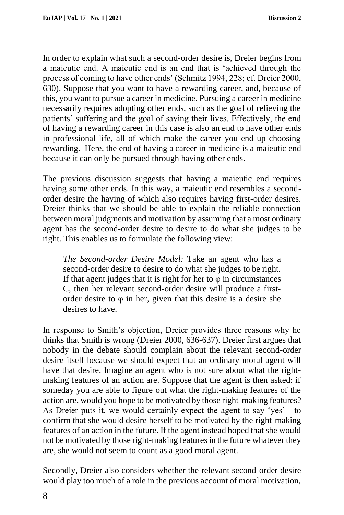In order to explain what such a second-order desire is, Dreier begins from a maieutic end. A maieutic end is an end that is 'achieved through the process of coming to have other ends' (Schmitz 1994, 228; cf. Dreier 2000, 630). Suppose that you want to have a rewarding career, and, because of this, you want to pursue a career in medicine. Pursuing a career in medicine necessarily requires adopting other ends, such as the goal of relieving the patients' suffering and the goal of saving their lives. Effectively, the end of having a rewarding career in this case is also an end to have other ends in professional life, all of which make the career you end up choosing rewarding. Here, the end of having a career in medicine is a maieutic end because it can only be pursued through having other ends.

The previous discussion suggests that having a maieutic end requires having some other ends. In this way, a maieutic end resembles a secondorder desire the having of which also requires having first-order desires. Dreier thinks that we should be able to explain the reliable connection between moral judgments and motivation by assuming that a most ordinary agent has the second-order desire to desire to do what she judges to be right. This enables us to formulate the following view:

*The Second-order Desire Model:* Take an agent who has a second-order desire to desire to do what she judges to be right. If that agent judges that it is right for her to  $\varphi$  in circumstances C, then her relevant second-order desire will produce a firstorder desire to  $\varphi$  in her, given that this desire is a desire she desires to have.

In response to Smith's objection, Dreier provides three reasons why he thinks that Smith is wrong (Dreier 2000, 636-637). Dreier first argues that nobody in the debate should complain about the relevant second-order desire itself because we should expect that an ordinary moral agent will have that desire. Imagine an agent who is not sure about what the rightmaking features of an action are. Suppose that the agent is then asked: if someday you are able to figure out what the right-making features of the action are, would you hope to be motivated by those right-making features? As Dreier puts it, we would certainly expect the agent to say 'yes'—to confirm that she would desire herself to be motivated by the right-making features of an action in the future. If the agent instead hoped that she would not be motivated by those right-making features in the future whatever they are, she would not seem to count as a good moral agent.

Secondly, Dreier also considers whether the relevant second-order desire would play too much of a role in the previous account of moral motivation,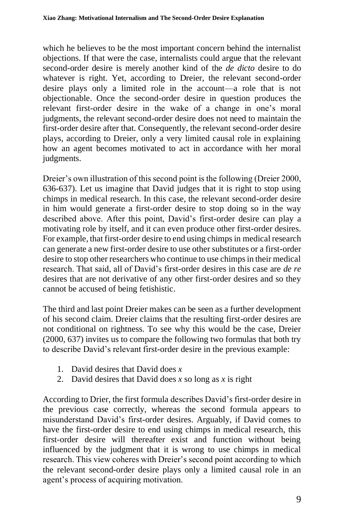which he believes to be the most important concern behind the internalist objections. If that were the case, internalists could argue that the relevant second-order desire is merely another kind of the *de dicto* desire to do whatever is right. Yet, according to Dreier, the relevant second-order desire plays only a limited role in the account—a role that is not objectionable. Once the second-order desire in question produces the relevant first-order desire in the wake of a change in one's moral judgments, the relevant second-order desire does not need to maintain the first-order desire after that. Consequently, the relevant second-order desire plays, according to Dreier, only a very limited causal role in explaining how an agent becomes motivated to act in accordance with her moral judgments.

Dreier's own illustration of this second point is the following (Dreier 2000, 636-637). Let us imagine that David judges that it is right to stop using chimps in medical research. In this case, the relevant second-order desire in him would generate a first-order desire to stop doing so in the way described above. After this point, David's first-order desire can play a motivating role by itself, and it can even produce other first-order desires. For example, that first-order desire to end using chimps in medical research can generate a new first-order desire to use other substitutes or a first-order desire to stop other researchers who continue to use chimps in their medical research. That said, all of David's first-order desires in this case are *de re*  desires that are not derivative of any other first-order desires and so they cannot be accused of being fetishistic.

The third and last point Dreier makes can be seen as a further development of his second claim. Dreier claims that the resulting first-order desires are not conditional on rightness. To see why this would be the case, Dreier (2000, 637) invites us to compare the following two formulas that both try to describe David's relevant first-order desire in the previous example:

- 1. David desires that David does *x*
- 2. David desires that David does *x* so long as *x* is right

According to Drier, the first formula describes David's first-order desire in the previous case correctly, whereas the second formula appears to misunderstand David's first-order desires. Arguably, if David comes to have the first-order desire to end using chimps in medical research, this first-order desire will thereafter exist and function without being influenced by the judgment that it is wrong to use chimps in medical research. This view coheres with Dreier's second point according to which the relevant second-order desire plays only a limited causal role in an agent's process of acquiring motivation.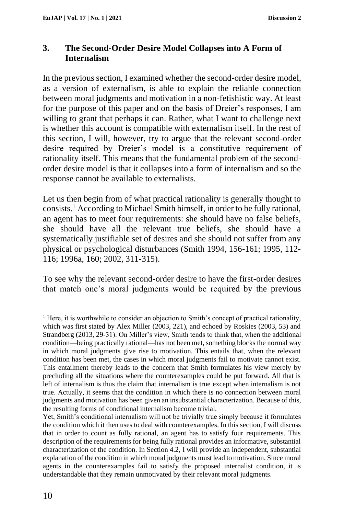#### **3. The Second-Order Desire Model Collapses into A Form of Internalism**

In the previous section, I examined whether the second-order desire model, as a version of externalism, is able to explain the reliable connection between moral judgments and motivation in a non-fetishistic way. At least for the purpose of this paper and on the basis of Dreier's responses, I am willing to grant that perhaps it can. Rather, what I want to challenge next is whether this account is compatible with externalism itself. In the rest of this section, I will, however, try to argue that the relevant second-order desire required by Dreier's model is a constitutive requirement of rationality itself. This means that the fundamental problem of the secondorder desire model is that it collapses into a form of internalism and so the response cannot be available to externalists.

Let us then begin from of what practical rationality is generally thought to consists.<sup>1</sup> According to Michael Smith himself, in order to be fully rational, an agent has to meet four requirements: she should have no false beliefs, she should have all the relevant true beliefs, she should have a systematically justifiable set of desires and she should not suffer from any physical or psychological disturbances (Smith 1994, 156-161; 1995, 112- 116; 1996a, 160; 2002, 311-315).

To see why the relevant second-order desire to have the first-order desires that match one's moral judgments would be required by the previous

<sup>&</sup>lt;sup>1</sup> Here, it is worthwhile to consider an objection to Smith's concept of practical rationality, which was first stated by Alex Miller (2003, 221), and echoed by Roskies (2003, 53) and Strandberg (2013, 29-31). On Miller's view, Smith tends to think that, when the additional condition—being practically rational—has not been met, something blocks the normal way in which moral judgments give rise to motivation. This entails that, when the relevant condition has been met, the cases in which moral judgments fail to motivate cannot exist. This entailment thereby leads to the concern that Smith formulates his view merely by precluding all the situations where the counterexamples could be put forward. All that is left of internalism is thus the claim that internalism is true except when internalism is not true. Actually, it seems that the condition in which there is no connection between moral judgments and motivation has been given an insubstantial characterization. Because of this, the resulting forms of conditional internalism become trivial.

Yet, Smith's conditional internalism will not be trivially true simply because it formulates the condition which it then uses to deal with counterexamples. In this section, I will discuss that in order to count as fully rational, an agent has to satisfy four requirements. This description of the requirements for being fully rational provides an informative, substantial characterization of the condition. In Section 4.2, I will provide an independent, substantial explanation of the condition in which moral judgments must lead to motivation. Since moral agents in the counterexamples fail to satisfy the proposed internalist condition, it is understandable that they remain unmotivated by their relevant moral judgments.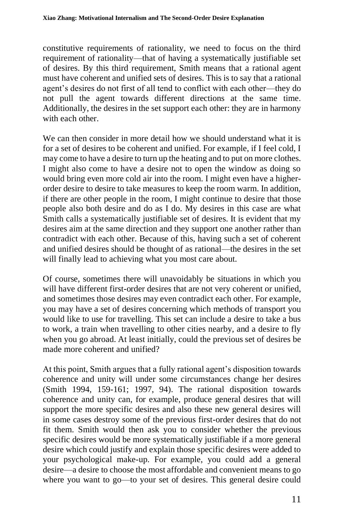constitutive requirements of rationality, we need to focus on the third requirement of rationality—that of having a systematically justifiable set of desires. By this third requirement, Smith means that a rational agent must have coherent and unified sets of desires. This is to say that a rational agent's desires do not first of all tend to conflict with each other—they do not pull the agent towards different directions at the same time. Additionally, the desires in the set support each other: they are in harmony with each other.

We can then consider in more detail how we should understand what it is for a set of desires to be coherent and unified. For example, if I feel cold, I may come to have a desire to turn up the heating and to put on more clothes. I might also come to have a desire not to open the window as doing so would bring even more cold air into the room. I might even have a higherorder desire to desire to take measures to keep the room warm. In addition, if there are other people in the room, I might continue to desire that those people also both desire and do as I do. My desires in this case are what Smith calls a systematically justifiable set of desires. It is evident that my desires aim at the same direction and they support one another rather than contradict with each other. Because of this, having such a set of coherent and unified desires should be thought of as rational—the desires in the set will finally lead to achieving what you most care about.

Of course, sometimes there will unavoidably be situations in which you will have different first-order desires that are not very coherent or unified, and sometimes those desires may even contradict each other. For example, you may have a set of desires concerning which methods of transport you would like to use for travelling. This set can include a desire to take a bus to work, a train when travelling to other cities nearby, and a desire to fly when you go abroad. At least initially, could the previous set of desires be made more coherent and unified?

At this point, Smith argues that a fully rational agent's disposition towards coherence and unity will under some circumstances change her desires (Smith 1994, 159-161; 1997, 94). The rational disposition towards coherence and unity can, for example, produce general desires that will support the more specific desires and also these new general desires will in some cases destroy some of the previous first-order desires that do not fit them. Smith would then ask you to consider whether the previous specific desires would be more systematically justifiable if a more general desire which could justify and explain those specific desires were added to your psychological make-up. For example, you could add a general desire—a desire to choose the most affordable and convenient means to go where you want to go—to your set of desires. This general desire could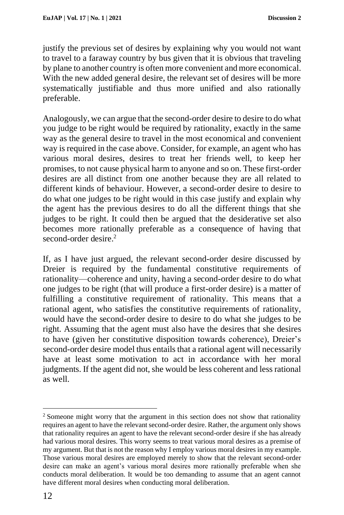justify the previous set of desires by explaining why you would not want to travel to a faraway country by bus given that it is obvious that traveling by plane to another country is often more convenient and more economical. With the new added general desire, the relevant set of desires will be more systematically justifiable and thus more unified and also rationally preferable.

Analogously, we can argue that the second-order desire to desire to do what you judge to be right would be required by rationality, exactly in the same way as the general desire to travel in the most economical and convenient way is required in the case above. Consider, for example, an agent who has various moral desires, desires to treat her friends well, to keep her promises, to not cause physical harm to anyone and so on. These first-order desires are all distinct from one another because they are all related to different kinds of behaviour. However, a second-order desire to desire to do what one judges to be right would in this case justify and explain why the agent has the previous desires to do all the different things that she judges to be right. It could then be argued that the desiderative set also becomes more rationally preferable as a consequence of having that second-order desire.<sup>2</sup>

If, as I have just argued, the relevant second-order desire discussed by Dreier is required by the fundamental constitutive requirements of rationality—coherence and unity, having a second-order desire to do what one judges to be right (that will produce a first-order desire) is a matter of fulfilling a constitutive requirement of rationality. This means that a rational agent, who satisfies the constitutive requirements of rationality, would have the second-order desire to desire to do what she judges to be right. Assuming that the agent must also have the desires that she desires to have (given her constitutive disposition towards coherence), Dreier's second-order desire model thus entails that a rational agent will necessarily have at least some motivation to act in accordance with her moral judgments. If the agent did not, she would be less coherent and less rational as well.

<sup>&</sup>lt;sup>2</sup> Someone might worry that the argument in this section does not show that rationality requires an agent to have the relevant second-order desire. Rather, the argument only shows that rationality requires an agent to have the relevant second-order desire if she has already had various moral desires. This worry seems to treat various moral desires as a premise of my argument. But that is not the reason why I employ various moral desires in my example. Those various moral desires are employed merely to show that the relevant second-order desire can make an agent's various moral desires more rationally preferable when she conducts moral deliberation. It would be too demanding to assume that an agent cannot have different moral desires when conducting moral deliberation.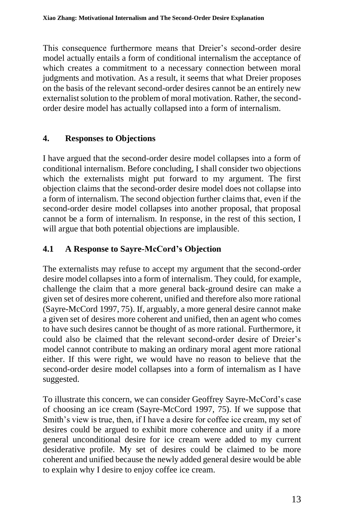This consequence furthermore means that Dreier's second-order desire model actually entails a form of conditional internalism the acceptance of which creates a commitment to a necessary connection between moral judgments and motivation. As a result, it seems that what Dreier proposes on the basis of the relevant second-order desires cannot be an entirely new externalist solution to the problem of moral motivation. Rather, the secondorder desire model has actually collapsed into a form of internalism.

## **4. Responses to Objections**

I have argued that the second-order desire model collapses into a form of conditional internalism. Before concluding, I shall consider two objections which the externalists might put forward to my argument. The first objection claims that the second-order desire model does not collapse into a form of internalism. The second objection further claims that, even if the second-order desire model collapses into another proposal, that proposal cannot be a form of internalism. In response, in the rest of this section, I will argue that both potential objections are implausible.

# **4.1 A Response to Sayre-McCord's Objection**

The externalists may refuse to accept my argument that the second-order desire model collapses into a form of internalism. They could, for example, challenge the claim that a more general back-ground desire can make a given set of desires more coherent, unified and therefore also more rational (Sayre-McCord 1997, 75). If, arguably, a more general desire cannot make a given set of desires more coherent and unified, then an agent who comes to have such desires cannot be thought of as more rational. Furthermore, it could also be claimed that the relevant second-order desire of Dreier's model cannot contribute to making an ordinary moral agent more rational either. If this were right, we would have no reason to believe that the second-order desire model collapses into a form of internalism as I have suggested.

To illustrate this concern, we can consider Geoffrey Sayre-McCord's case of choosing an ice cream (Sayre-McCord 1997, 75). If we suppose that Smith's view is true, then, if I have a desire for coffee ice cream, my set of desires could be argued to exhibit more coherence and unity if a more general unconditional desire for ice cream were added to my current desiderative profile. My set of desires could be claimed to be more coherent and unified because the newly added general desire would be able to explain why I desire to enjoy coffee ice cream.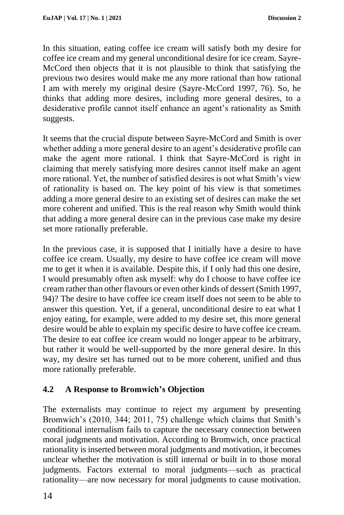In this situation, eating coffee ice cream will satisfy both my desire for coffee ice cream and my general unconditional desire for ice cream. Sayre-McCord then objects that it is not plausible to think that satisfying the previous two desires would make me any more rational than how rational I am with merely my original desire (Sayre-McCord 1997, 76). So, he thinks that adding more desires, including more general desires, to a desiderative profile cannot itself enhance an agent's rationality as Smith suggests.

It seems that the crucial dispute between Sayre-McCord and Smith is over whether adding a more general desire to an agent's desiderative profile can make the agent more rational. I think that Sayre-McCord is right in claiming that merely satisfying more desires cannot itself make an agent more rational. Yet, the number of satisfied desires is not what Smith's view of rationality is based on. The key point of his view is that sometimes adding a more general desire to an existing set of desires can make the set more coherent and unified. This is the real reason why Smith would think that adding a more general desire can in the previous case make my desire set more rationally preferable.

In the previous case, it is supposed that I initially have a desire to have coffee ice cream. Usually, my desire to have coffee ice cream will move me to get it when it is available. Despite this, if I only had this one desire, I would presumably often ask myself: why do I choose to have coffee ice cream rather than other flavours or even other kinds of dessert (Smith 1997, 94)? The desire to have coffee ice cream itself does not seem to be able to answer this question. Yet, if a general, unconditional desire to eat what I enjoy eating, for example, were added to my desire set, this more general desire would be able to explain my specific desire to have coffee ice cream. The desire to eat coffee ice cream would no longer appear to be arbitrary, but rather it would be well-supported by the more general desire. In this way, my desire set has turned out to be more coherent, unified and thus more rationally preferable.

### **4.2 A Response to Bromwich's Objection**

The externalists may continue to reject my argument by presenting Bromwich's (2010, 344; 2011, 75) challenge which claims that Smith's conditional internalism fails to capture the necessary connection between moral judgments and motivation. According to Bromwich, once practical rationality is inserted between moral judgments and motivation, it becomes unclear whether the motivation is still internal or built in to those moral judgments. Factors external to moral judgments—such as practical rationality—are now necessary for moral judgments to cause motivation.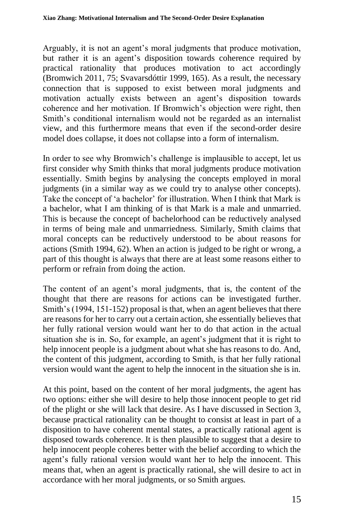Arguably, it is not an agent's moral judgments that produce motivation, but rather it is an agent's disposition towards coherence required by practical rationality that produces motivation to act accordingly (Bromwich 2011, 75; Svavarsdóttir 1999, 165). As a result, the necessary connection that is supposed to exist between moral judgments and motivation actually exists between an agent's disposition towards coherence and her motivation. If Bromwich's objection were right, then Smith's conditional internalism would not be regarded as an internalist view, and this furthermore means that even if the second-order desire model does collapse, it does not collapse into a form of internalism.

In order to see why Bromwich's challenge is implausible to accept, let us first consider why Smith thinks that moral judgments produce motivation essentially. Smith begins by analysing the concepts employed in moral judgments (in a similar way as we could try to analyse other concepts). Take the concept of 'a bachelor' for illustration. When I think that Mark is a bachelor, what I am thinking of is that Mark is a male and unmarried. This is because the concept of bachelorhood can be reductively analysed in terms of being male and unmarriedness. Similarly, Smith claims that moral concepts can be reductively understood to be about reasons for actions (Smith 1994, 62). When an action is judged to be right or wrong, a part of this thought is always that there are at least some reasons either to perform or refrain from doing the action.

The content of an agent's moral judgments, that is, the content of the thought that there are reasons for actions can be investigated further. Smith's (1994, 151-152) proposal is that, when an agent believes that there are reasons for her to carry out a certain action, she essentially believes that her fully rational version would want her to do that action in the actual situation she is in. So, for example, an agent's judgment that it is right to help innocent people is a judgment about what she has reasons to do. And, the content of this judgment, according to Smith, is that her fully rational version would want the agent to help the innocent in the situation she is in.

At this point, based on the content of her moral judgments, the agent has two options: either she will desire to help those innocent people to get rid of the plight or she will lack that desire. As I have discussed in Section 3, because practical rationality can be thought to consist at least in part of a disposition to have coherent mental states, a practically rational agent is disposed towards coherence. It is then plausible to suggest that a desire to help innocent people coheres better with the belief according to which the agent's fully rational version would want her to help the innocent. This means that, when an agent is practically rational, she will desire to act in accordance with her moral judgments, or so Smith argues.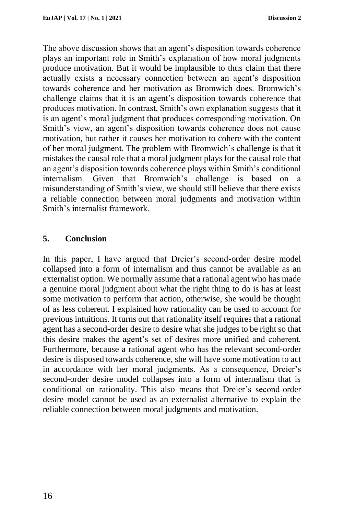The above discussion shows that an agent's disposition towards coherence plays an important role in Smith's explanation of how moral judgments produce motivation. But it would be implausible to thus claim that there actually exists a necessary connection between an agent's disposition towards coherence and her motivation as Bromwich does. Bromwich's challenge claims that it is an agent's disposition towards coherence that produces motivation. In contrast, Smith's own explanation suggests that it is an agent's moral judgment that produces corresponding motivation. On Smith's view, an agent's disposition towards coherence does not cause motivation, but rather it causes her motivation to cohere with the content of her moral judgment. The problem with Bromwich's challenge is that it mistakes the causal role that a moral judgment plays for the causal role that an agent's disposition towards coherence plays within Smith's conditional internalism. Given that Bromwich's challenge is based on misunderstanding of Smith's view, we should still believe that there exists a reliable connection between moral judgments and motivation within Smith's internalist framework.

### **5. Conclusion**

In this paper, I have argued that Dreier's second-order desire model collapsed into a form of internalism and thus cannot be available as an externalist option. We normally assume that a rational agent who has made a genuine moral judgment about what the right thing to do is has at least some motivation to perform that action, otherwise, she would be thought of as less coherent. I explained how rationality can be used to account for previous intuitions. It turns out that rationality itself requires that a rational agent has a second-order desire to desire what she judges to be right so that this desire makes the agent's set of desires more unified and coherent. Furthermore, because a rational agent who has the relevant second-order desire is disposed towards coherence, she will have some motivation to act in accordance with her moral judgments. As a consequence, Dreier's second-order desire model collapses into a form of internalism that is conditional on rationality. This also means that Dreier's second-order desire model cannot be used as an externalist alternative to explain the reliable connection between moral judgments and motivation.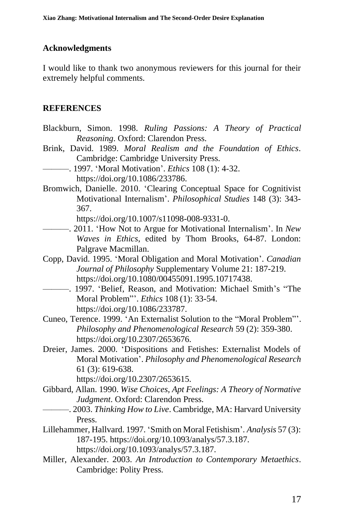## **Acknowledgments**

I would like to thank two anonymous reviewers for this journal for their extremely helpful comments.

# **REFERENCES**

- Blackburn, Simon. 1998. *Ruling Passions: A Theory of Practical Reasoning*. Oxford: Clarendon Press.
- Brink, David. 1989. *Moral Realism and the Foundation of Ethics*. Cambridge: Cambridge University Press.
	- ———. 1997. 'Moral Motivation'. *Ethics* 108 (1): 4-32. https://doi.org/10.1086/233786.
- Bromwich, Danielle. 2010. 'Clearing Conceptual Space for Cognitivist Motivational Internalism'. *Philosophical Studies* 148 (3): 343- 367.

https://doi.org/10.1007/s11098-008-9331-0.

- ———. 2011. 'How Not to Argue for Motivational Internalism'. In *New Waves in Ethics*, edited by Thom Brooks, 64-87. London: Palgrave Macmillan.
- Copp, David. 1995. 'Moral Obligation and Moral Motivation'. *Canadian Journal of Philosophy* Supplementary Volume 21: 187-219. https://doi.org/10.1080/00455091.1995.10717438.
- ———. 1997. 'Belief, Reason, and Motivation: Michael Smith's "The Moral Problem"'. *Ethics* 108 (1): 33-54. https://doi.org/10.1086/233787.
- Cuneo, Terence. 1999. 'An Externalist Solution to the "Moral Problem"'. *Philosophy and Phenomenological Research* 59 (2): 359-380. https://doi.org/10.2307/2653676.
- Dreier, James. 2000. 'Dispositions and Fetishes: Externalist Models of Moral Motivation'. *Philosophy and Phenomenological Research* 61 (3): 619-638.

https://doi.org/10.2307/2653615.

- Gibbard, Allan. 1990. *Wise Choices, Apt Feelings: A Theory of Normative Judgment*. Oxford: Clarendon Press.
- ———. 2003. *Thinking How to Live*. Cambridge, MA: Harvard University Press.
- Lillehammer, Hallvard. 1997. 'Smith on Moral Fetishism'. *Analysis* 57 (3): 187-195. https://doi.org/10.1093/analys/57.3.187. https://doi.org/10.1093/analys/57.3.187.
- Miller, Alexander. 2003. *An Introduction to Contemporary Metaethics*. Cambridge: Polity Press.